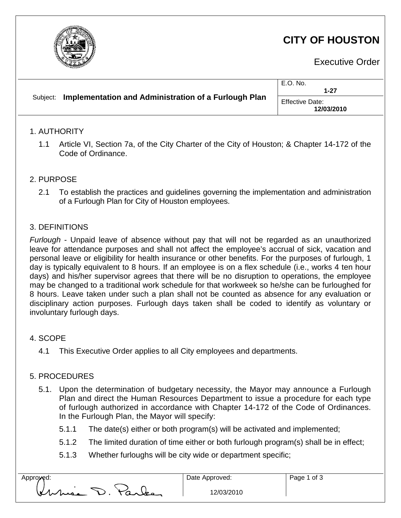

# **CITY OF HOUSTON**

Executive Order

| Subject: | Implementation and Administration of a Furlough Plan | E.O. No.<br>$1 - 27$                 |
|----------|------------------------------------------------------|--------------------------------------|
|          |                                                      | <b>Effective Date:</b><br>12/03/2010 |

### 1. AUTHORITY

1.1 Article VI, Section 7a, of the City Charter of the City of Houston; & Chapter 14-172 of the Code of Ordinance.

# 2. PURPOSE

2.1 To establish the practices and guidelines governing the implementation and administration of a Furlough Plan for City of Houston employees.

### 3. DEFINITIONS

*Furlough* - Unpaid leave of absence without pay that will not be regarded as an unauthorized leave for attendance purposes and shall not affect the employee's accrual of sick, vacation and personal leave or eligibility for health insurance or other benefits. For the purposes of furlough, 1 day is typically equivalent to 8 hours. If an employee is on a flex schedule (i.e., works 4 ten hour days) and his/her supervisor agrees that there will be no disruption to operations, the employee may be changed to a traditional work schedule for that workweek so he/she can be furloughed for 8 hours. Leave taken under such a plan shall not be counted as absence for any evaluation or disciplinary action purposes. Furlough days taken shall be coded to identify as voluntary or involuntary furlough days.

#### 4. SCOPE

4.1 This Executive Order applies to all City employees and departments.

# 5. PROCEDURES

- 5.1. Upon the determination of budgetary necessity, the Mayor may announce a Furlough Plan and direct the Human Resources Department to issue a procedure for each type of furlough authorized in accordance with Chapter 14-172 of the Code of Ordinances. In the Furlough Plan, the Mayor will specify:
	- 5.1.1 The date(s) either or both program(s) will be activated and implemented;
	- 5.1.2 The limited duration of time either or both furlough program(s) shall be in effect;
	- 5.1.3 Whether furloughs will be city wide or department specific;

| pproved: |             |        |        |
|----------|-------------|--------|--------|
|          | ٠<br>While. | $\sim$ | $\sim$ |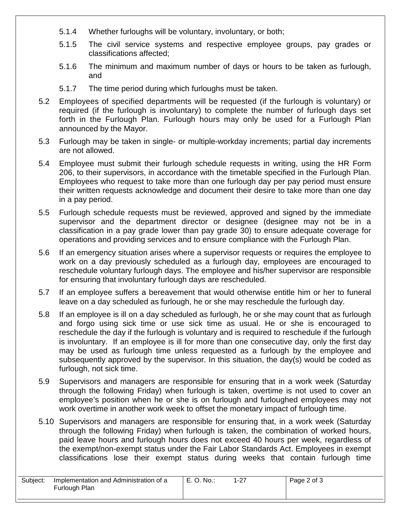- 5.1.4 Whether furloughs will be voluntary, involuntary, or both;
- 5.1.5 The civil service systems and respective employee groups, pay grades or classifications affected;
- 5.1.6 The minimum and maximum number of days or hours to be taken as furlough, and
- 5.1.7 The time period during which furloughs must be taken.
- 5.2 Employees of specified departments will be requested (if the furlough is voluntary) or required (if the furlough is involuntary) to complete the number of furlough days set forth in the Furlough Plan. Furlough hours may only be used for a Furlough Plan announced by the Mayor.
- 5.3 Furlough may be taken in single- or multiple-workday increments; partial day increments are not allowed.
- 5.4 Employee must submit their furlough schedule requests in writing, using the HR Form 206, to their supervisors, in accordance with the timetable specified in the Furlough Plan. Employees who request to take more than one furlough day per pay period must ensure their written requests acknowledge and document their desire to take more than one day in a pay period.
- 5.5 Furlough schedule requests must be reviewed, approved and signed by the immediate supervisor and the department director or designee (designee may not be in a classification in a pay grade lower than pay grade 30) to ensure adequate coverage for operations and providing services and to ensure compliance with the Furlough Plan.
- 5.6 If an emergency situation arises where a supervisor requests or requires the employee to work on a day previously scheduled as a furlough day, employees are encouraged to reschedule voluntary furlough days. The employee and his/her supervisor are responsible for ensuring that involuntary furlough days are rescheduled.
- 5.7 If an employee suffers a bereavement that would otherwise entitle him or her to funeral leave on a day scheduled as furlough, he or she may reschedule the furlough day.
- 5.8 If an employee is ill on a day scheduled as furlough, he or she may count that as furlough and forgo using sick time or use sick time as usual. He or she is encouraged to reschedule the day if the furlough is voluntary and is required to reschedule if the furlough is involuntary. If an employee is ill for more than one consecutive day, only the first day may be used as furlough time unless requested as a furlough by the employee and subsequently approved by the supervisor. In this situation, the day(s) would be coded as furlough, not sick time.
- 5.9 Supervisors and managers are responsible for ensuring that in a work week (Saturday through the following Friday) when furlough is taken, overtime is not used to cover an employee's position when he or she is on furlough and furloughed employees may not work overtime in another work week to offset the monetary impact of furlough time.
- 5.10 Supervisors and managers are responsible for ensuring that, in a work week (Saturday through the following Friday) when furlough is taken, the combination of worked hours, paid leave hours and furlough hours does not exceed 40 hours per week, regardless of the exempt/non-exempt status under the Fair Labor Standards Act. Employees in exempt classifications lose their exempt status during weeks that contain furlough time

| Subject: | Implementation and Administration of a | E. O. No.: | $1 - 27$ | Page 2 of 3 |
|----------|----------------------------------------|------------|----------|-------------|
|          | Furlough Plan                          |            |          |             |
|          |                                        |            |          |             |